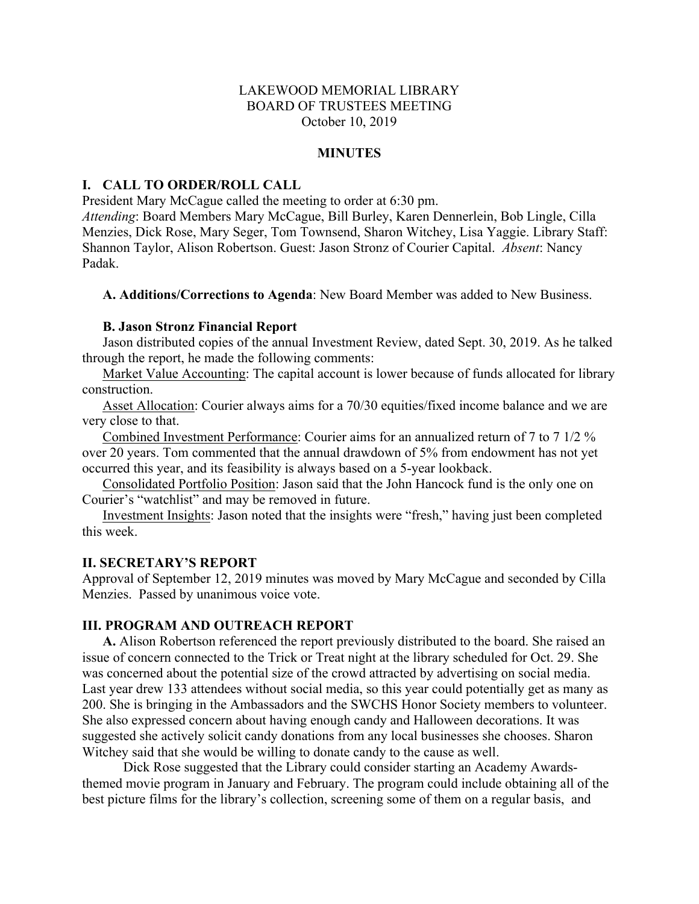# LAKEWOOD MEMORIAL LIBRARY BOARD OF TRUSTEES MEETING October 10, 2019

#### **MINUTES**

### **I. CALL TO ORDER/ROLL CALL**

President Mary McCague called the meeting to order at 6:30 pm.

*Attending*: Board Members Mary McCague, Bill Burley, Karen Dennerlein, Bob Lingle, Cilla Menzies, Dick Rose, Mary Seger, Tom Townsend, Sharon Witchey, Lisa Yaggie. Library Staff: Shannon Taylor, Alison Robertson. Guest: Jason Stronz of Courier Capital. *Absent*: Nancy Padak.

**A. Additions/Corrections to Agenda**: New Board Member was added to New Business.

# **B. Jason Stronz Financial Report**

Jason distributed copies of the annual Investment Review, dated Sept. 30, 2019. As he talked through the report, he made the following comments:

Market Value Accounting: The capital account is lower because of funds allocated for library construction.

Asset Allocation: Courier always aims for a 70/30 equities/fixed income balance and we are very close to that.

Combined Investment Performance: Courier aims for an annualized return of 7 to 7 1/2 % over 20 years. Tom commented that the annual drawdown of 5% from endowment has not yet occurred this year, and its feasibility is always based on a 5-year lookback.

Consolidated Portfolio Position: Jason said that the John Hancock fund is the only one on Courier's "watchlist" and may be removed in future.

Investment Insights: Jason noted that the insights were "fresh," having just been completed this week.

## **II. SECRETARY'S REPORT**

Approval of September 12, 2019 minutes was moved by Mary McCague and seconded by Cilla Menzies. Passed by unanimous voice vote.

## **III. PROGRAM AND OUTREACH REPORT**

**A.** Alison Robertson referenced the report previously distributed to the board. She raised an issue of concern connected to the Trick or Treat night at the library scheduled for Oct. 29. She was concerned about the potential size of the crowd attracted by advertising on social media. Last year drew 133 attendees without social media, so this year could potentially get as many as 200. She is bringing in the Ambassadors and the SWCHS Honor Society members to volunteer. She also expressed concern about having enough candy and Halloween decorations. It was suggested she actively solicit candy donations from any local businesses she chooses. Sharon Witchey said that she would be willing to donate candy to the cause as well.

Dick Rose suggested that the Library could consider starting an Academy Awardsthemed movie program in January and February. The program could include obtaining all of the best picture films for the library's collection, screening some of them on a regular basis, and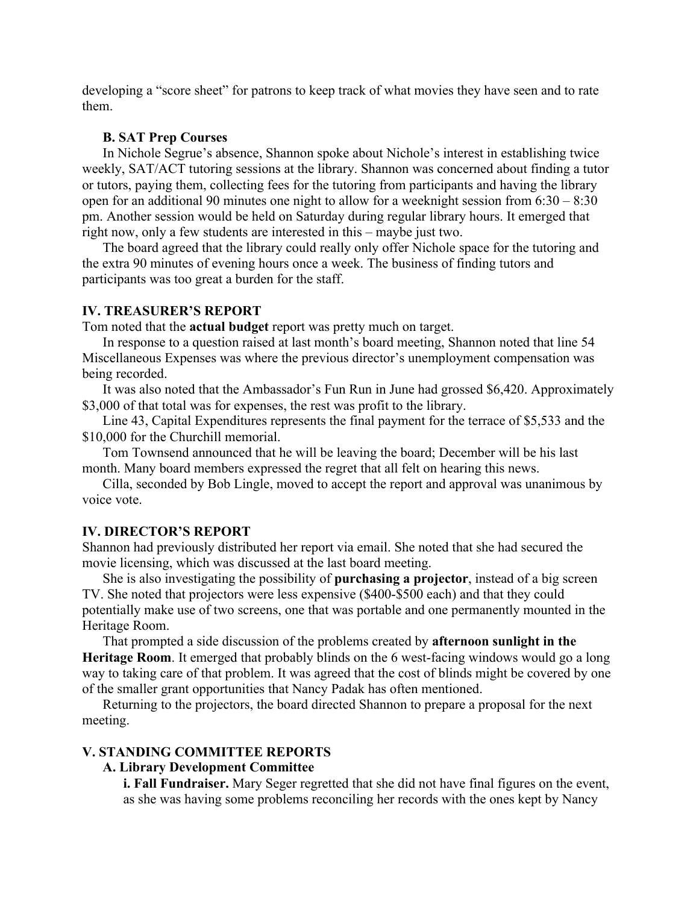developing a "score sheet" for patrons to keep track of what movies they have seen and to rate them.

### **B. SAT Prep Courses**

In Nichole Segrue's absence, Shannon spoke about Nichole's interest in establishing twice weekly, SAT/ACT tutoring sessions at the library. Shannon was concerned about finding a tutor or tutors, paying them, collecting fees for the tutoring from participants and having the library open for an additional 90 minutes one night to allow for a weeknight session from 6:30 – 8:30 pm. Another session would be held on Saturday during regular library hours. It emerged that right now, only a few students are interested in this – maybe just two.

The board agreed that the library could really only offer Nichole space for the tutoring and the extra 90 minutes of evening hours once a week. The business of finding tutors and participants was too great a burden for the staff.

# **IV. TREASURER'S REPORT**

Tom noted that the **actual budget** report was pretty much on target.

In response to a question raised at last month's board meeting, Shannon noted that line 54 Miscellaneous Expenses was where the previous director's unemployment compensation was being recorded.

It was also noted that the Ambassador's Fun Run in June had grossed \$6,420. Approximately \$3,000 of that total was for expenses, the rest was profit to the library.

Line 43, Capital Expenditures represents the final payment for the terrace of \$5,533 and the \$10,000 for the Churchill memorial.

Tom Townsend announced that he will be leaving the board; December will be his last month. Many board members expressed the regret that all felt on hearing this news.

Cilla, seconded by Bob Lingle, moved to accept the report and approval was unanimous by voice vote.

### **IV. DIRECTOR'S REPORT**

Shannon had previously distributed her report via email. She noted that she had secured the movie licensing, which was discussed at the last board meeting.

She is also investigating the possibility of **purchasing a projector**, instead of a big screen TV. She noted that projectors were less expensive (\$400-\$500 each) and that they could potentially make use of two screens, one that was portable and one permanently mounted in the Heritage Room.

That prompted a side discussion of the problems created by **afternoon sunlight in the Heritage Room**. It emerged that probably blinds on the 6 west-facing windows would go a long way to taking care of that problem. It was agreed that the cost of blinds might be covered by one of the smaller grant opportunities that Nancy Padak has often mentioned.

Returning to the projectors, the board directed Shannon to prepare a proposal for the next meeting.

#### **V. STANDING COMMITTEE REPORTS**

# **A. Library Development Committee**

**i. Fall Fundraiser.** Mary Seger regretted that she did not have final figures on the event, as she was having some problems reconciling her records with the ones kept by Nancy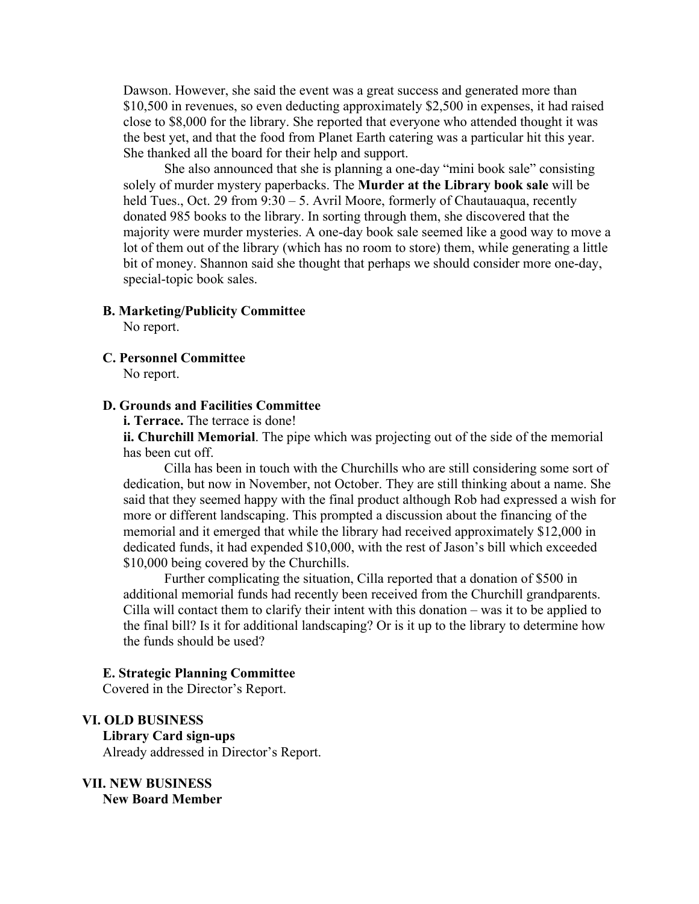Dawson. However, she said the event was a great success and generated more than \$10,500 in revenues, so even deducting approximately \$2,500 in expenses, it had raised close to \$8,000 for the library. She reported that everyone who attended thought it was the best yet, and that the food from Planet Earth catering was a particular hit this year. She thanked all the board for their help and support.

She also announced that she is planning a one-day "mini book sale" consisting solely of murder mystery paperbacks. The **Murder at the Library book sale** will be held Tues., Oct. 29 from 9:30 – 5. Avril Moore, formerly of Chautauaqua, recently donated 985 books to the library. In sorting through them, she discovered that the majority were murder mysteries. A one-day book sale seemed like a good way to move a lot of them out of the library (which has no room to store) them, while generating a little bit of money. Shannon said she thought that perhaps we should consider more one-day, special-topic book sales.

#### **B. Marketing/Publicity Committee**

No report.

**C. Personnel Committee**

No report.

#### **D. Grounds and Facilities Committee**

**i. Terrace.** The terrace is done!

**ii. Churchill Memorial**. The pipe which was projecting out of the side of the memorial has been cut off.

Cilla has been in touch with the Churchills who are still considering some sort of dedication, but now in November, not October. They are still thinking about a name. She said that they seemed happy with the final product although Rob had expressed a wish for more or different landscaping. This prompted a discussion about the financing of the memorial and it emerged that while the library had received approximately \$12,000 in dedicated funds, it had expended \$10,000, with the rest of Jason's bill which exceeded \$10,000 being covered by the Churchills.

Further complicating the situation, Cilla reported that a donation of \$500 in additional memorial funds had recently been received from the Churchill grandparents. Cilla will contact them to clarify their intent with this donation – was it to be applied to the final bill? Is it for additional landscaping? Or is it up to the library to determine how the funds should be used?

#### **E. Strategic Planning Committee**

Covered in the Director's Report.

## **VI. OLD BUSINESS**

**Library Card sign-ups** Already addressed in Director's Report.

**VII. NEW BUSINESS New Board Member**